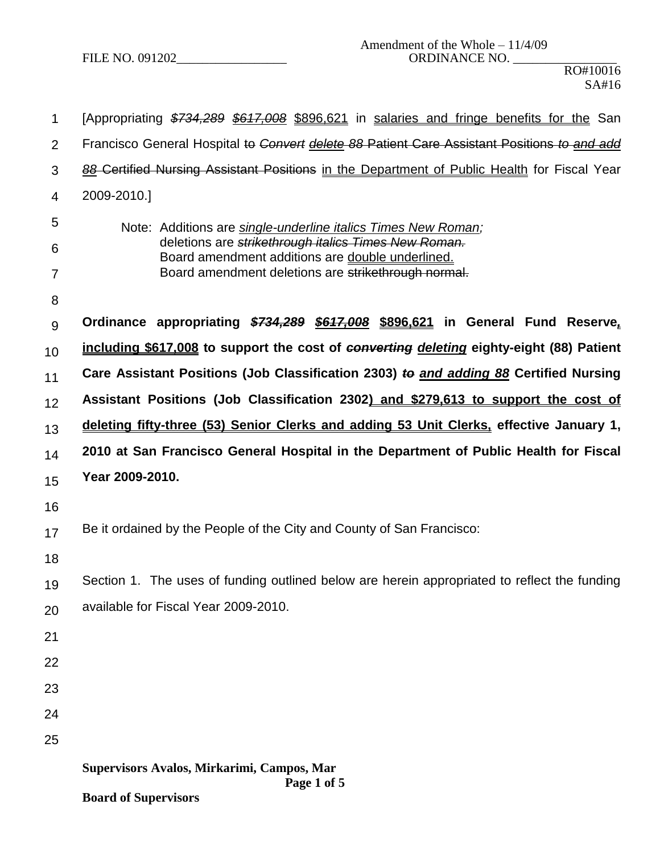FILE NO. 091202\_\_\_\_\_\_\_\_\_\_\_\_\_\_\_\_\_ ORDINANCE NO. \_\_\_\_\_\_\_\_\_\_\_\_\_\_\_\_

| 1  | [Appropriating \$734,289 \$617,008 \$896,621 in salaries and fringe benefits for the San                 |  |  |  |  |  |  |
|----|----------------------------------------------------------------------------------------------------------|--|--|--|--|--|--|
| 2  | Francisco General Hospital to Convert delete 88 Patient Care Assistant Positions to and add              |  |  |  |  |  |  |
| 3  | 88 Certified Nursing Assistant Positions in the Department of Public Health for Fiscal Year              |  |  |  |  |  |  |
| 4  | 2009-2010.]                                                                                              |  |  |  |  |  |  |
| 5  | Note: Additions are single-underline italics Times New Roman;                                            |  |  |  |  |  |  |
| 6  | deletions are strikethrough italics Times New Roman.<br>Board amendment additions are double underlined. |  |  |  |  |  |  |
| 7  | Board amendment deletions are strikethrough normal.                                                      |  |  |  |  |  |  |
| 8  |                                                                                                          |  |  |  |  |  |  |
| 9  | Ordinance appropriating \$734,289 \$617,008 \$896,621 in General Fund Reserve,                           |  |  |  |  |  |  |
| 10 | including \$617,008 to support the cost of converting deleting eighty-eight (88) Patient                 |  |  |  |  |  |  |
| 11 | Care Assistant Positions (Job Classification 2303) to and adding 88 Certified Nursing                    |  |  |  |  |  |  |
| 12 | Assistant Positions (Job Classification 2302) and \$279,613 to support the cost of                       |  |  |  |  |  |  |
| 13 | deleting fifty-three (53) Senior Clerks and adding 53 Unit Clerks, effective January 1,                  |  |  |  |  |  |  |
| 14 | 2010 at San Francisco General Hospital in the Department of Public Health for Fiscal                     |  |  |  |  |  |  |
| 15 | Year 2009-2010.                                                                                          |  |  |  |  |  |  |
| 16 |                                                                                                          |  |  |  |  |  |  |
| 17 | Be it ordained by the People of the City and County of San Francisco:                                    |  |  |  |  |  |  |
| 18 |                                                                                                          |  |  |  |  |  |  |
| 19 | Section 1. The uses of funding outlined below are herein appropriated to reflect the funding             |  |  |  |  |  |  |
| 20 | available for Fiscal Year 2009-2010.                                                                     |  |  |  |  |  |  |
| 21 |                                                                                                          |  |  |  |  |  |  |
| 22 |                                                                                                          |  |  |  |  |  |  |
| 23 |                                                                                                          |  |  |  |  |  |  |
| 24 |                                                                                                          |  |  |  |  |  |  |
| 25 |                                                                                                          |  |  |  |  |  |  |
|    | Supervisors Avalos, Mirkarimi, Campos, Mar<br>Page 1 of 5                                                |  |  |  |  |  |  |

**Board of Supervisors**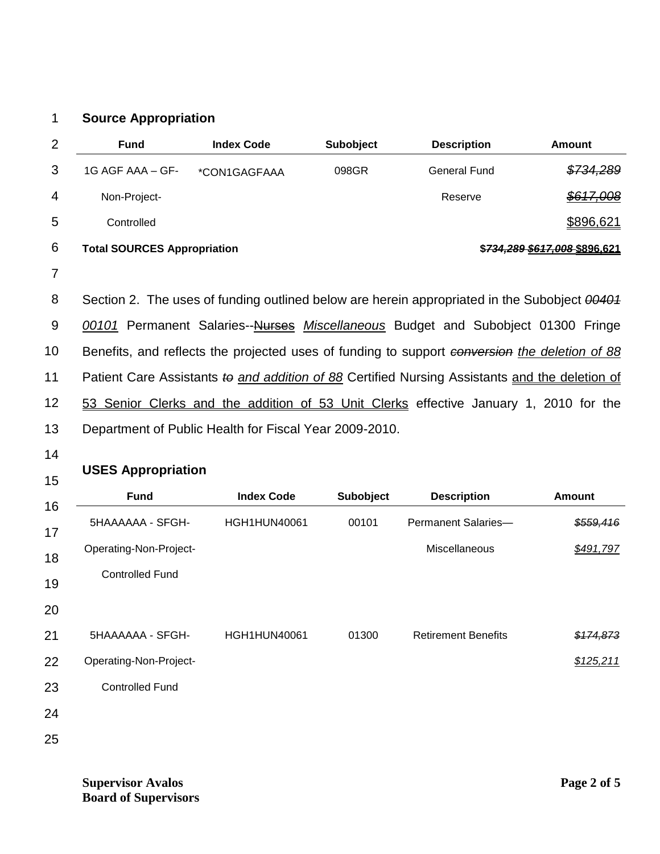## 1 **Source Appropriation**

| $\overline{2}$ | <b>Fund</b>                                                         | <b>Index Code</b>                                      | <b>Subobject</b> | <b>Description</b>                                                                             | <b>Amount</b> |
|----------------|---------------------------------------------------------------------|--------------------------------------------------------|------------------|------------------------------------------------------------------------------------------------|---------------|
| 3              | 1G AGF AAA - GF-                                                    | *CON1GAGFAAA                                           | 098GR            | <b>General Fund</b>                                                                            | \$734,289     |
| 4              | Non-Project-                                                        |                                                        |                  | Reserve                                                                                        | \$617,008     |
| 5              | Controlled                                                          |                                                        |                  |                                                                                                | \$896,621     |
| 6              | <b>Total SOURCES Appropriation</b><br>\$734,289 \$617,008 \$896,621 |                                                        |                  |                                                                                                |               |
| 7              |                                                                     |                                                        |                  |                                                                                                |               |
| 8              |                                                                     |                                                        |                  | Section 2. The uses of funding outlined below are herein appropriated in the Subobject 00404   |               |
| 9              |                                                                     |                                                        |                  | 00101 Permanent Salaries--Nurses Miscellaneous Budget and Subobject 01300 Fringe               |               |
| 10             |                                                                     |                                                        |                  | Benefits, and reflects the projected uses of funding to support conversion the deletion of 88  |               |
| 11             |                                                                     |                                                        |                  | Patient Care Assistants to and addition of 88 Certified Nursing Assistants and the deletion of |               |
| 12             |                                                                     |                                                        |                  | 53 Senior Clerks and the addition of 53 Unit Clerks effective January 1, 2010 for the          |               |
| 13             |                                                                     | Department of Public Health for Fiscal Year 2009-2010. |                  |                                                                                                |               |

14

## **USES Appropriation**

| <b>UULU APPIUPIRIIUII</b> |                     |           |                            |               |  |
|---------------------------|---------------------|-----------|----------------------------|---------------|--|
| <b>Fund</b>               | <b>Index Code</b>   | Subobject | <b>Description</b>         | <b>Amount</b> |  |
| 5HAAAAAA - SFGH-          | <b>HGH1HUN40061</b> | 00101     | Permanent Salaries-        | \$559,416     |  |
| Operating-Non-Project-    |                     |           | Miscellaneous              | \$491,797     |  |
| <b>Controlled Fund</b>    |                     |           |                            |               |  |
|                           |                     |           |                            |               |  |
| 5HAAAAAA - SFGH-          | <b>HGH1HUN40061</b> | 01300     | <b>Retirement Benefits</b> | \$174,873     |  |
| Operating-Non-Project-    |                     |           |                            | \$125,211     |  |
| <b>Controlled Fund</b>    |                     |           |                            |               |  |
|                           |                     |           |                            |               |  |
|                           |                     |           |                            |               |  |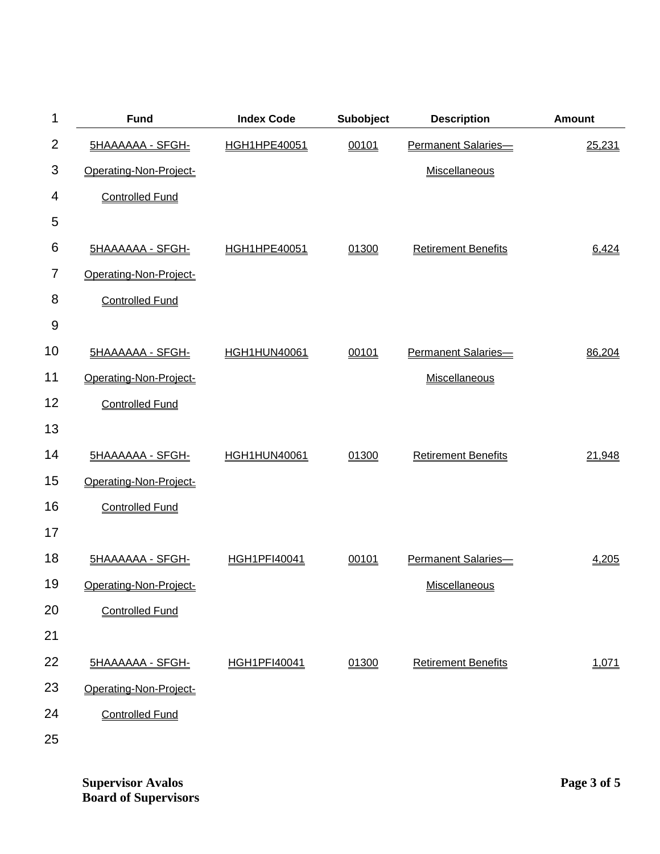| 1              | <b>Fund</b>             | <b>Index Code</b>   | Subobject | <b>Description</b>         | <b>Amount</b> |
|----------------|-------------------------|---------------------|-----------|----------------------------|---------------|
| $\overline{2}$ | <b>5HAAAAAA - SFGH-</b> | HGH1HPE40051        | 00101     | Permanent Salaries-        | 25,231        |
| 3              | Operating-Non-Project-  |                     |           | Miscellaneous              |               |
| 4              | <b>Controlled Fund</b>  |                     |           |                            |               |
| 5              |                         |                     |           |                            |               |
| 6              | <b>5HAAAAAA - SFGH-</b> | <b>HGH1HPE40051</b> | 01300     | <b>Retirement Benefits</b> | 6,424         |
| 7              | Operating-Non-Project-  |                     |           |                            |               |
| 8              | <b>Controlled Fund</b>  |                     |           |                            |               |
| 9              |                         |                     |           |                            |               |
| 10             | <b>5HAAAAAA - SFGH-</b> | <b>HGH1HUN40061</b> | 00101     | Permanent Salaries-        | 86,204        |
| 11             | Operating-Non-Project-  |                     |           | Miscellaneous              |               |
| 12             | <b>Controlled Fund</b>  |                     |           |                            |               |
| 13             |                         |                     |           |                            |               |
| 14             | <b>5HAAAAAA - SFGH-</b> | <b>HGH1HUN40061</b> | 01300     | <b>Retirement Benefits</b> | 21,948        |
| 15             | Operating-Non-Project-  |                     |           |                            |               |
| 16             | <b>Controlled Fund</b>  |                     |           |                            |               |
| 17             |                         |                     |           |                            |               |
| 18             | <b>5HAAAAAA - SFGH-</b> | <b>HGH1PFI40041</b> | 00101     | Permanent Salaries-        | 4,205         |
| 19             | Operating-Non-Project-  |                     |           | Miscellaneous              |               |
| 20             | <b>Controlled Fund</b>  |                     |           |                            |               |
| 21             |                         |                     |           |                            |               |
| 22             | <b>5HAAAAAA - SFGH-</b> | <b>HGH1PFI40041</b> | 01300     | <b>Retirement Benefits</b> | 1,071         |
| 23             | Operating-Non-Project-  |                     |           |                            |               |
| 24             | <b>Controlled Fund</b>  |                     |           |                            |               |
| 25             |                         |                     |           |                            |               |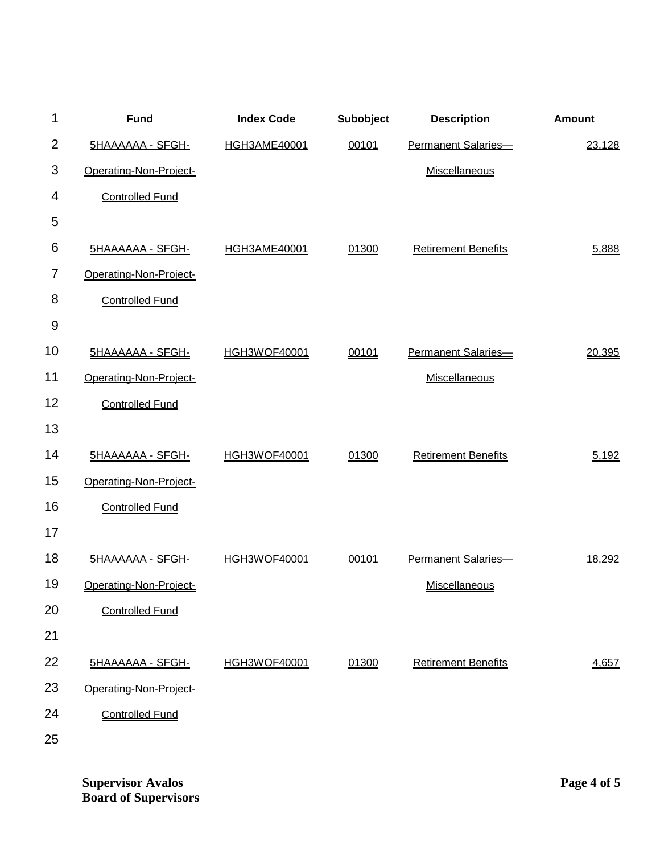| 1              | <b>Fund</b>             | <b>Index Code</b>   | Subobject | <b>Description</b>         | <b>Amount</b> |
|----------------|-------------------------|---------------------|-----------|----------------------------|---------------|
| $\overline{2}$ | <b>5HAAAAAA - SFGH-</b> | <b>HGH3AME40001</b> | 00101     | Permanent Salaries-        | 23,128        |
| 3              | Operating-Non-Project-  |                     |           | Miscellaneous              |               |
| 4              | <b>Controlled Fund</b>  |                     |           |                            |               |
| 5              |                         |                     |           |                            |               |
| 6              | <b>5HAAAAAA - SFGH-</b> | <b>HGH3AME40001</b> | 01300     | <b>Retirement Benefits</b> | 5,888         |
| 7              | Operating-Non-Project-  |                     |           |                            |               |
| 8              | <b>Controlled Fund</b>  |                     |           |                            |               |
| 9              |                         |                     |           |                            |               |
| 10             | <b>5HAAAAAA - SFGH-</b> | <b>HGH3WOF40001</b> | 00101     | Permanent Salaries-        | 20,395        |
| 11             | Operating-Non-Project-  |                     |           | Miscellaneous              |               |
| 12             | <b>Controlled Fund</b>  |                     |           |                            |               |
| 13             |                         |                     |           |                            |               |
| 14             | <b>5HAAAAAA - SFGH-</b> | <b>HGH3WOF40001</b> | 01300     | <b>Retirement Benefits</b> | 5,192         |
| 15             | Operating-Non-Project-  |                     |           |                            |               |
| 16             | <b>Controlled Fund</b>  |                     |           |                            |               |
| 17             |                         |                     |           |                            |               |
| 18             | <b>5HAAAAAA - SFGH-</b> | <b>HGH3WOF40001</b> | 00101     | Permanent Salaries-        | 18,292        |
| 19             | Operating-Non-Project-  |                     |           | Miscellaneous              |               |
| 20             | <b>Controlled Fund</b>  |                     |           |                            |               |
| 21             |                         |                     |           |                            |               |
| 22             | <b>5HAAAAAA - SFGH-</b> | <b>HGH3WOF40001</b> | 01300     | <b>Retirement Benefits</b> | 4,657         |
| 23             | Operating-Non-Project-  |                     |           |                            |               |
| 24             | <b>Controlled Fund</b>  |                     |           |                            |               |
| 25             |                         |                     |           |                            |               |